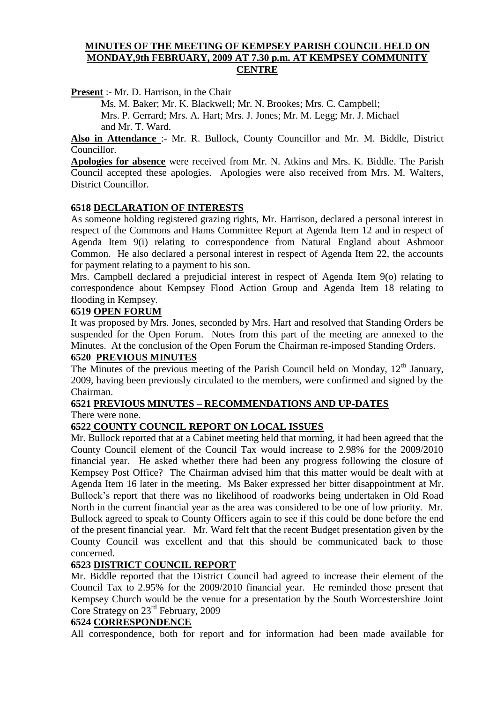#### **MINUTES OF THE MEETING OF KEMPSEY PARISH COUNCIL HELD ON MONDAY,9th FEBRUARY, 2009 AT 7.30 p.m. AT KEMPSEY COMMUNITY CENTRE**

**Present** :- Mr. D. Harrison, in the Chair

Ms. M. Baker; Mr. K. Blackwell; Mr. N. Brookes; Mrs. C. Campbell; Mrs. P. Gerrard; Mrs. A. Hart; Mrs. J. Jones; Mr. M. Legg; Mr. J. Michael and Mr. T. Ward.

**Also in Attendance** :- Mr. R. Bullock, County Councillor and Mr. M. Biddle, District Councillor.

**Apologies for absence** were received from Mr. N. Atkins and Mrs. K. Biddle. The Parish Council accepted these apologies. Apologies were also received from Mrs. M. Walters, District Councillor.

#### **6518 DECLARATION OF INTERESTS**

As someone holding registered grazing rights, Mr. Harrison, declared a personal interest in respect of the Commons and Hams Committee Report at Agenda Item 12 and in respect of Agenda Item 9(i) relating to correspondence from Natural England about Ashmoor Common. He also declared a personal interest in respect of Agenda Item 22, the accounts for payment relating to a payment to his son.

Mrs. Campbell declared a prejudicial interest in respect of Agenda Item 9(o) relating to correspondence about Kempsey Flood Action Group and Agenda Item 18 relating to flooding in Kempsey.

#### **6519 OPEN FORUM**

It was proposed by Mrs. Jones, seconded by Mrs. Hart and resolved that Standing Orders be suspended for the Open Forum. Notes from this part of the meeting are annexed to the Minutes. At the conclusion of the Open Forum the Chairman re-imposed Standing Orders.

#### **6520 PREVIOUS MINUTES**

The Minutes of the previous meeting of the Parish Council held on Monday,  $12<sup>th</sup>$  January, 2009, having been previously circulated to the members, were confirmed and signed by the Chairman.

## **6521 PREVIOUS MINUTES – RECOMMENDATIONS AND UP-DATES**

There were none.

## **6522 COUNTY COUNCIL REPORT ON LOCAL ISSUES**

Mr. Bullock reported that at a Cabinet meeting held that morning, it had been agreed that the County Council element of the Council Tax would increase to 2.98% for the 2009/2010 financial year. He asked whether there had been any progress following the closure of Kempsey Post Office? The Chairman advised him that this matter would be dealt with at Agenda Item 16 later in the meeting. Ms Baker expressed her bitter disappointment at Mr. Bullock's report that there was no likelihood of roadworks being undertaken in Old Road North in the current financial year as the area was considered to be one of low priority. Mr. Bullock agreed to speak to County Officers again to see if this could be done before the end of the present financial year. Mr. Ward felt that the recent Budget presentation given by the County Council was excellent and that this should be communicated back to those concerned.

#### **6523 DISTRICT COUNCIL REPORT**

Mr. Biddle reported that the District Council had agreed to increase their element of the Council Tax to 2.95% for the 2009/2010 financial year. He reminded those present that Kempsey Church would be the venue for a presentation by the South Worcestershire Joint Core Strategy on 23rd February, 2009

#### **6524 CORRESPONDENCE**

All correspondence, both for report and for information had been made available for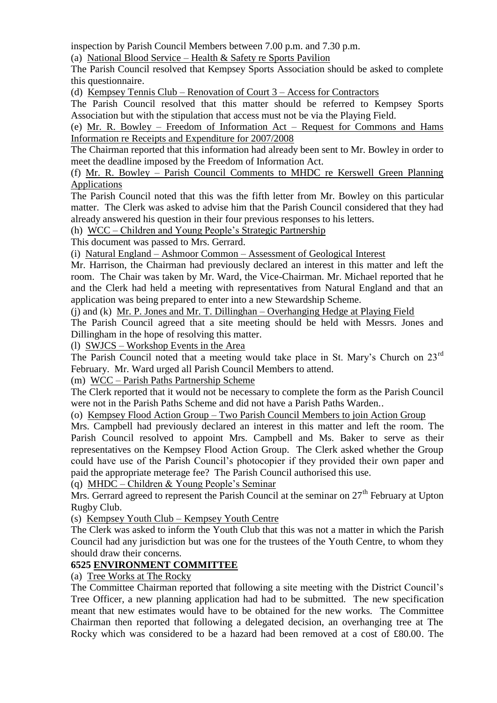inspection by Parish Council Members between 7.00 p.m. and 7.30 p.m.

(a) National Blood Service – Health & Safety re Sports Pavilion

The Parish Council resolved that Kempsey Sports Association should be asked to complete this questionnaire.

(d) Kempsey Tennis Club – Renovation of Court 3 – Access for Contractors

The Parish Council resolved that this matter should be referred to Kempsey Sports Association but with the stipulation that access must not be via the Playing Field.

(e) Mr. R. Bowley – Freedom of Information Act – Request for Commons and Hams Information re Receipts and Expenditure for 2007/2008

The Chairman reported that this information had already been sent to Mr. Bowley in order to meet the deadline imposed by the Freedom of Information Act.

(f) Mr. R. Bowley – Parish Council Comments to MHDC re Kerswell Green Planning Applications

The Parish Council noted that this was the fifth letter from Mr. Bowley on this particular matter. The Clerk was asked to advise him that the Parish Council considered that they had already answered his question in their four previous responses to his letters.

(h) WCC – Children and Young People's Strategic Partnership

This document was passed to Mrs. Gerrard.

(i) Natural England – Ashmoor Common – Assessment of Geological Interest

Mr. Harrison, the Chairman had previously declared an interest in this matter and left the room. The Chair was taken by Mr. Ward, the Vice-Chairman. Mr. Michael reported that he and the Clerk had held a meeting with representatives from Natural England and that an application was being prepared to enter into a new Stewardship Scheme.

(j) and (k) Mr. P. Jones and Mr. T. Dillinghan – Overhanging Hedge at Playing Field

The Parish Council agreed that a site meeting should be held with Messrs. Jones and Dillingham in the hope of resolving this matter.

(l) SWJCS – Workshop Events in the Area

The Parish Council noted that a meeting would take place in St. Mary's Church on 23<sup>rd</sup> February. Mr. Ward urged all Parish Council Members to attend.

(m) WCC – Parish Paths Partnership Scheme

The Clerk reported that it would not be necessary to complete the form as the Parish Council were not in the Parish Paths Scheme and did not have a Parish Paths Warden..

(o) Kempsey Flood Action Group – Two Parish Council Members to join Action Group

Mrs. Campbell had previously declared an interest in this matter and left the room. The Parish Council resolved to appoint Mrs. Campbell and Ms. Baker to serve as their representatives on the Kempsey Flood Action Group. The Clerk asked whether the Group could have use of the Parish Council's photocopier if they provided their own paper and paid the appropriate meterage fee? The Parish Council authorised this use.

(q) MHDC – Children & Young People's Seminar

Mrs. Gerrard agreed to represent the Parish Council at the seminar on  $27<sup>th</sup>$  February at Upton Rugby Club.

(s) Kempsey Youth Club – Kempsey Youth Centre

The Clerk was asked to inform the Youth Club that this was not a matter in which the Parish Council had any jurisdiction but was one for the trustees of the Youth Centre, to whom they should draw their concerns.

## **6525 ENVIRONMENT COMMITTEE**

(a) Tree Works at The Rocky

The Committee Chairman reported that following a site meeting with the District Council's Tree Officer, a new planning application had had to be submitted. The new specification meant that new estimates would have to be obtained for the new works. The Committee Chairman then reported that following a delegated decision, an overhanging tree at The Rocky which was considered to be a hazard had been removed at a cost of £80.00. The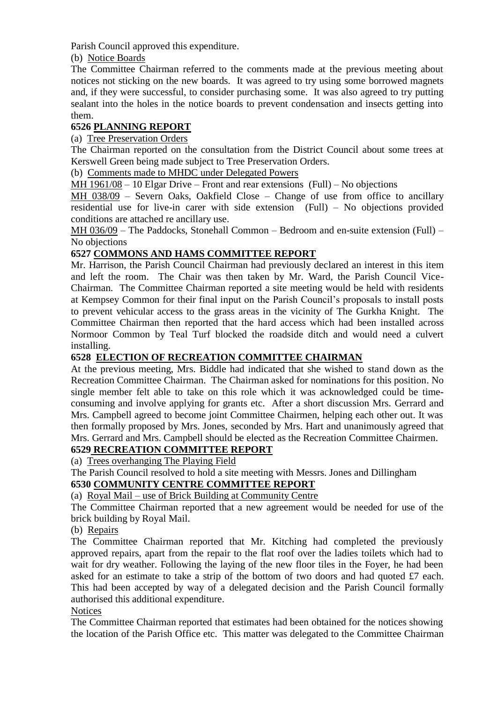Parish Council approved this expenditure.

(b) Notice Boards

The Committee Chairman referred to the comments made at the previous meeting about notices not sticking on the new boards. It was agreed to try using some borrowed magnets and, if they were successful, to consider purchasing some. It was also agreed to try putting sealant into the holes in the notice boards to prevent condensation and insects getting into them.

## **6526 PLANNING REPORT**

(a) Tree Preservation Orders

The Chairman reported on the consultation from the District Council about some trees at Kerswell Green being made subject to Tree Preservation Orders.

(b) Comments made to MHDC under Delegated Powers

MH 1961/08 – 10 Elgar Drive – Front and rear extensions (Full) – No objections

MH 038/09 – Severn Oaks, Oakfield Close – Change of use from office to ancillary residential use for live-in carer with side extension (Full) – No objections provided conditions are attached re ancillary use.

MH 036/09 – The Paddocks, Stonehall Common – Bedroom and en-suite extension (Full) – No objections

## **6527 COMMONS AND HAMS COMMITTEE REPORT**

Mr. Harrison, the Parish Council Chairman had previously declared an interest in this item and left the room. The Chair was then taken by Mr. Ward, the Parish Council Vice-Chairman. The Committee Chairman reported a site meeting would be held with residents at Kempsey Common for their final input on the Parish Council's proposals to install posts to prevent vehicular access to the grass areas in the vicinity of The Gurkha Knight. The Committee Chairman then reported that the hard access which had been installed across Normoor Common by Teal Turf blocked the roadside ditch and would need a culvert installing.

## **6528 ELECTION OF RECREATION COMMITTEE CHAIRMAN**

At the previous meeting, Mrs. Biddle had indicated that she wished to stand down as the Recreation Committee Chairman. The Chairman asked for nominations for this position. No single member felt able to take on this role which it was acknowledged could be timeconsuming and involve applying for grants etc. After a short discussion Mrs. Gerrard and Mrs. Campbell agreed to become joint Committee Chairmen, helping each other out. It was then formally proposed by Mrs. Jones, seconded by Mrs. Hart and unanimously agreed that Mrs. Gerrard and Mrs. Campbell should be elected as the Recreation Committee Chairmen.

## **6529 RECREATION COMMITTEE REPORT**

(a) Trees overhanging The Playing Field

The Parish Council resolved to hold a site meeting with Messrs. Jones and Dillingham

## **6530 COMMUNITY CENTRE COMMITTEE REPORT**

## (a) Royal Mail – use of Brick Building at Community Centre

The Committee Chairman reported that a new agreement would be needed for use of the brick building by Royal Mail.

#### (b) Repairs

The Committee Chairman reported that Mr. Kitching had completed the previously approved repairs, apart from the repair to the flat roof over the ladies toilets which had to wait for dry weather. Following the laying of the new floor tiles in the Foyer, he had been asked for an estimate to take a strip of the bottom of two doors and had quoted £7 each. This had been accepted by way of a delegated decision and the Parish Council formally authorised this additional expenditure.

#### **Notices**

The Committee Chairman reported that estimates had been obtained for the notices showing the location of the Parish Office etc. This matter was delegated to the Committee Chairman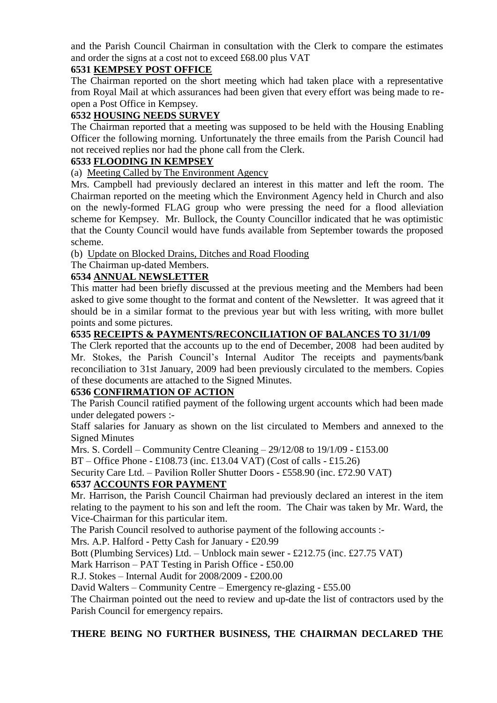and the Parish Council Chairman in consultation with the Clerk to compare the estimates and order the signs at a cost not to exceed £68.00 plus VAT

## **6531 KEMPSEY POST OFFICE**

The Chairman reported on the short meeting which had taken place with a representative from Royal Mail at which assurances had been given that every effort was being made to reopen a Post Office in Kempsey.

## **6532 HOUSING NEEDS SURVEY**

The Chairman reported that a meeting was supposed to be held with the Housing Enabling Officer the following morning. Unfortunately the three emails from the Parish Council had not received replies nor had the phone call from the Clerk.

## **6533 FLOODING IN KEMPSEY**

(a) Meeting Called by The Environment Agency

Mrs. Campbell had previously declared an interest in this matter and left the room. The Chairman reported on the meeting which the Environment Agency held in Church and also on the newly-formed FLAG group who were pressing the need for a flood alleviation scheme for Kempsey. Mr. Bullock, the County Councillor indicated that he was optimistic that the County Council would have funds available from September towards the proposed scheme.

(b) Update on Blocked Drains, Ditches and Road Flooding

The Chairman up-dated Members.

## **6534 ANNUAL NEWSLETTER**

This matter had been briefly discussed at the previous meeting and the Members had been asked to give some thought to the format and content of the Newsletter. It was agreed that it should be in a similar format to the previous year but with less writing, with more bullet points and some pictures.

## **6535 RECEIPTS & PAYMENTS/RECONCILIATION OF BALANCES TO 31/1/09**

The Clerk reported that the accounts up to the end of December, 2008 had been audited by Mr. Stokes, the Parish Council's Internal Auditor The receipts and payments/bank reconciliation to 31st January, 2009 had been previously circulated to the members. Copies of these documents are attached to the Signed Minutes.

## **6536 CONFIRMATION OF ACTION**

The Parish Council ratified payment of the following urgent accounts which had been made under delegated powers :-

Staff salaries for January as shown on the list circulated to Members and annexed to the Signed Minutes

Mrs. S. Cordell – Community Centre Cleaning – 29/12/08 to 19/1/09 - £153.00

BT – Office Phone - £108.73 (inc. £13.04 VAT) (Cost of calls - £15.26)

Security Care Ltd. – Pavilion Roller Shutter Doors - £558.90 (inc. £72.90 VAT)

## **6537 ACCOUNTS FOR PAYMENT**

Mr. Harrison, the Parish Council Chairman had previously declared an interest in the item relating to the payment to his son and left the room. The Chair was taken by Mr. Ward, the Vice-Chairman for this particular item.

The Parish Council resolved to authorise payment of the following accounts :-

Mrs. A.P. Halford - Petty Cash for January - £20.99

Bott (Plumbing Services) Ltd. – Unblock main sewer - £212.75 (inc. £27.75 VAT)

Mark Harrison – PAT Testing in Parish Office - £50.00

R.J. Stokes – Internal Audit for 2008/2009 - £200.00

David Walters – Community Centre – Emergency re-glazing - £55.00

The Chairman pointed out the need to review and up-date the list of contractors used by the Parish Council for emergency repairs.

## **THERE BEING NO FURTHER BUSINESS, THE CHAIRMAN DECLARED THE**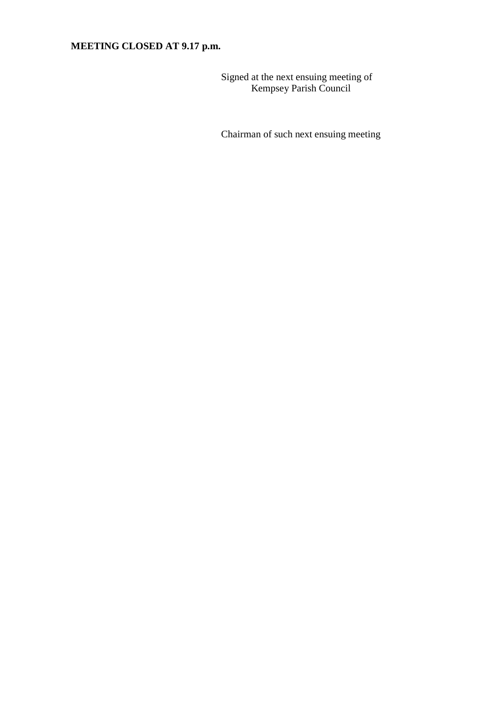# **MEETING CLOSED AT 9.17 p.m.**

Signed at the next ensuing meeting of Kempsey Parish Council

Chairman of such next ensuing meeting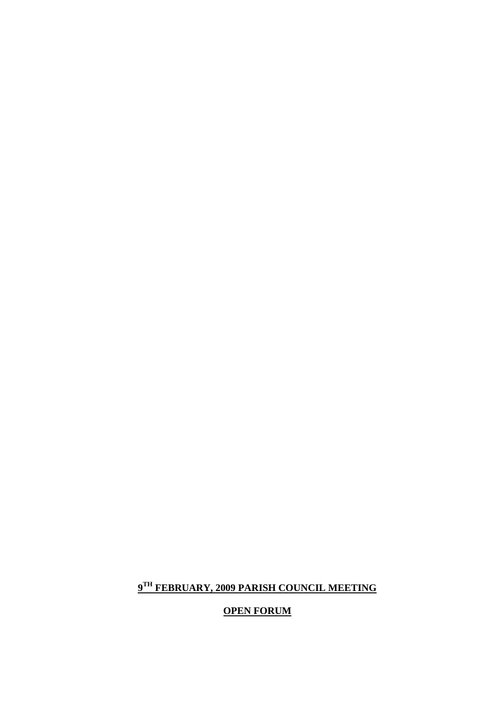# **OPEN FORUM**

## **9 TH FEBRUARY, 2009 PARISH COUNCIL MEETING**